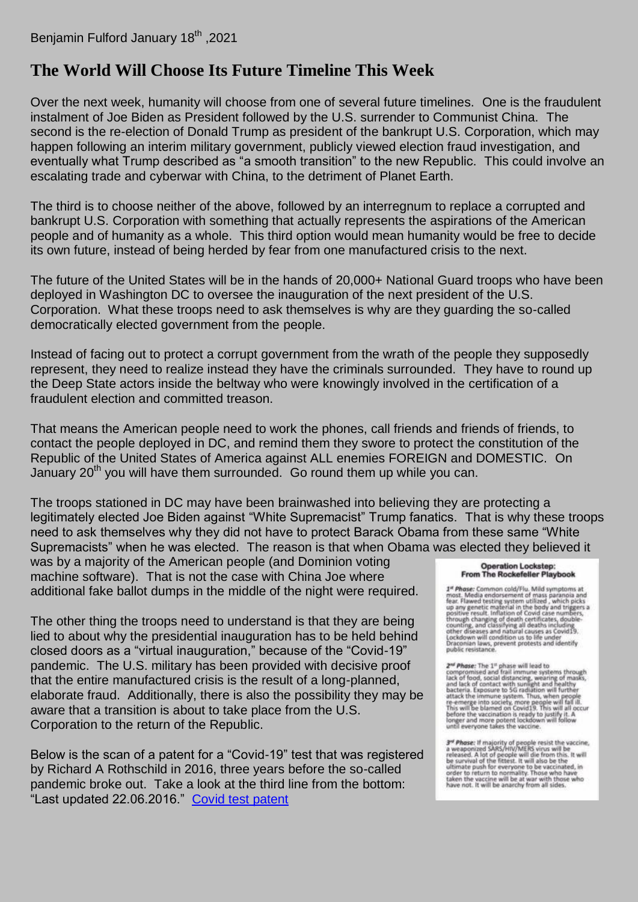## **[The World Will Choose Its Future Timeline This Week](https://benjaminfulford.net/2021/01/18/the-world-will-choose-its-future-timeline-this-week/)**

Over the next week, humanity will choose from one of several future timelines. One is the fraudulent instalment of Joe Biden as President followed by the U.S. surrender to Communist China. The second is the re-election of Donald Trump as president of the bankrupt U.S. Corporation, which may happen following an interim military government, publicly viewed election fraud investigation, and eventually what Trump described as "a smooth transition" to the new Republic. This could involve an escalating trade and cyberwar with China, to the detriment of Planet Earth.

The third is to choose neither of the above, followed by an interregnum to replace a corrupted and bankrupt U.S. Corporation with something that actually represents the aspirations of the American people and of humanity as a whole. This third option would mean humanity would be free to decide its own future, instead of being herded by fear from one manufactured crisis to the next.

The future of the United States will be in the hands of 20,000+ National Guard troops who have been deployed in Washington DC to oversee the inauguration of the next president of the U.S. Corporation. What these troops need to ask themselves is why are they guarding the so-called democratically elected government from the people.

Instead of facing out to protect a corrupt government from the wrath of the people they supposedly represent, they need to realize instead they have the criminals surrounded. They have to round up the Deep State actors inside the beltway who were knowingly involved in the certification of a fraudulent election and committed treason.

That means the American people need to work the phones, call friends and friends of friends, to contact the people deployed in DC, and remind them they swore to protect the constitution of the Republic of the United States of America against ALL enemies FOREIGN and DOMESTIC. On January  $20<sup>th</sup>$  you will have them surrounded. Go round them up while you can.

The troops stationed in DC may have been brainwashed into believing they are protecting a legitimately elected Joe Biden against "White Supremacist" Trump fanatics. That is why these troops need to ask themselves why they did not have to protect Barack Obama from these same "White Supremacists" when he was elected. The reason is that when Obama was elected they believed it

was by a majority of the American people (and Dominion voting machine software). That is not the case with China Joe where additional fake ballot dumps in the middle of the night were required.

The other thing the troops need to understand is that they are being lied to about why the presidential inauguration has to be held behind closed doors as a "virtual inauguration," because of the "Covid-19" pandemic. The U.S. military has been provided with decisive proof that the entire manufactured crisis is the result of a long-planned, elaborate fraud. Additionally, there is also the possibility they may be aware that a transition is about to take place from the U.S. Corporation to the return of the Republic.

Below is the scan of a patent for a "Covid-19" test that was registered by Richard A Rothschild in 2016, three years before the so-called pandemic broke out. Take a look at the third line from the bottom: "Last updated 22.06.2016." [Covid test patent](https://benjaminfulford.net/wp-content/uploads/2021/01/Covid-test-patent.pdf)

## **Operation Lockstep: From The Rockefeller Playbook**

 $1^{\alpha}$  Phose: Common cold/Flu. Mild symptoms at most. Media endorsement of mass paranoia and fear. Flawed testing system utilized, which picks up any genetic material in the body and triggers a positive result. Inflation

 $2^{\text{nd}}$  Phase: The 1<sup>n</sup> phase will lead to<br>compromised and frail immune systems through<br>lack of food, social distancing, wearing of masks,<br>and lack of constact with sunlight and healthy<br>bacteria. Exposure to 5G radiatio

 $3^{nt}$  Phase: If majority of people resist the vaccine,<br>a weaponized SARS/HIV/MERS virus will be<br>released. A lot of people will die from this. It will<br>be survival of the fittest. It will also be the<br>ultimate push for ever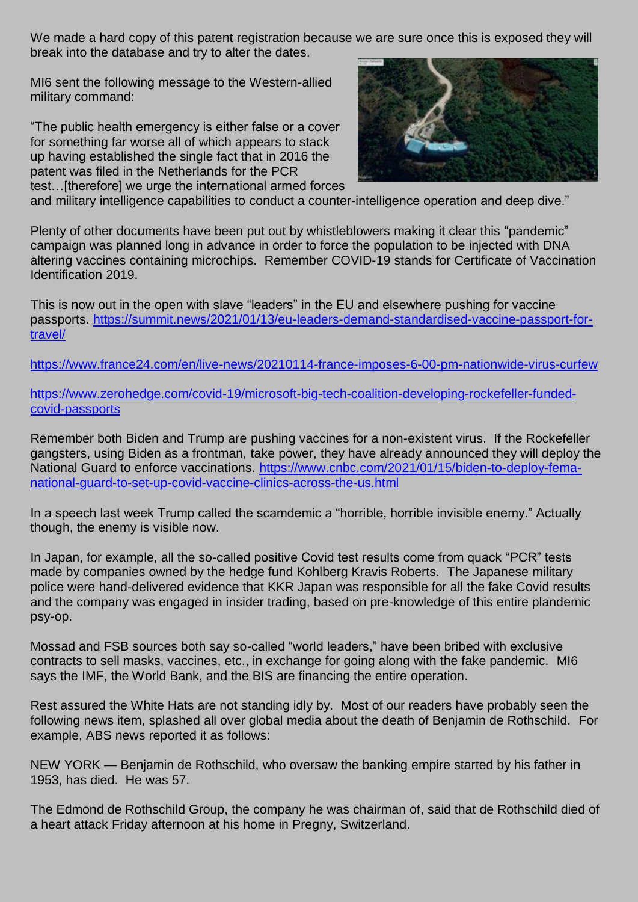We made a hard copy of this patent registration because we are sure once this is exposed they will break into the database and try to alter the dates.

MI6 sent the following message to the Western-allied military command:

"The public health emergency is either false or a cover for something far worse all of which appears to stack up having established the single fact that in 2016 the patent was filed in the Netherlands for the PCR test…[therefore] we urge the international armed forces



and military intelligence capabilities to conduct a counter-intelligence operation and deep dive."

Plenty of other documents have been put out by whistleblowers making it clear this "pandemic" campaign was planned long in advance in order to force the population to be injected with DNA altering vaccines containing microchips. Remember COVID-19 stands for Certificate of Vaccination Identification 2019.

This is now out in the open with slave "leaders" in the EU and elsewhere pushing for vaccine passports. [https://summit.news/2021/01/13/eu-leaders-demand-standardised-vaccine-passport-for](https://summit.news/2021/01/13/eu-leaders-demand-standardised-vaccine-passport-for-travel/)[travel/](https://summit.news/2021/01/13/eu-leaders-demand-standardised-vaccine-passport-for-travel/)

<https://www.france24.com/en/live-news/20210114-france-imposes-6-00-pm-nationwide-virus-curfew>

[https://www.zerohedge.com/covid-19/microsoft-big-tech-coalition-developing-rockefeller-funded](https://www.zerohedge.com/covid-19/microsoft-big-tech-coalition-developing-rockefeller-funded-covid-passports)[covid-passports](https://www.zerohedge.com/covid-19/microsoft-big-tech-coalition-developing-rockefeller-funded-covid-passports)

Remember both Biden and Trump are pushing vaccines for a non-existent virus. If the Rockefeller gangsters, using Biden as a frontman, take power, they have already announced they will deploy the National Guard to enforce vaccinations. [https://www.cnbc.com/2021/01/15/biden-to-deploy-fema](https://www.cnbc.com/2021/01/15/biden-to-deploy-fema-national-guard-to-set-up-covid-vaccine-clinics-across-the-us.html)[national-guard-to-set-up-covid-vaccine-clinics-across-the-us.html](https://www.cnbc.com/2021/01/15/biden-to-deploy-fema-national-guard-to-set-up-covid-vaccine-clinics-across-the-us.html)

In a speech last week Trump called the scamdemic a "horrible, horrible invisible enemy." Actually though, the enemy is visible now.

In Japan, for example, all the so-called positive Covid test results come from quack "PCR" tests made by companies owned by the hedge fund Kohlberg Kravis Roberts. The Japanese military police were hand-delivered evidence that KKR Japan was responsible for all the fake Covid results and the company was engaged in insider trading, based on pre-knowledge of this entire plandemic psy-op.

Mossad and FSB sources both say so-called "world leaders," have been bribed with exclusive contracts to sell masks, vaccines, etc., in exchange for going along with the fake pandemic. MI6 says the IMF, the World Bank, and the BIS are financing the entire operation.

Rest assured the White Hats are not standing idly by. Most of our readers have probably seen the following news item, splashed all over global media about the death of Benjamin de Rothschild. For example, ABS news reported it as follows:

NEW YORK — Benjamin de Rothschild, who oversaw the banking empire started by his father in 1953, has died. He was 57.

The Edmond de Rothschild Group, the company he was chairman of, said that de Rothschild died of a heart attack Friday afternoon at his home in Pregny, Switzerland.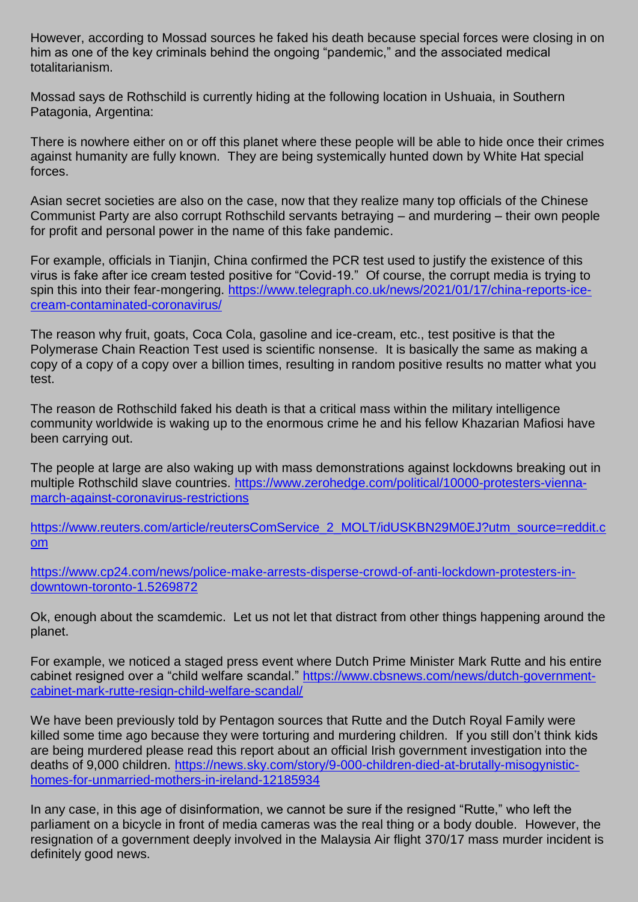However, according to Mossad sources he faked his death because special forces were closing in on him as one of the key criminals behind the ongoing "pandemic," and the associated medical totalitarianism.

Mossad says de Rothschild is currently hiding at the following location in Ushuaia, in Southern Patagonia, Argentina:

There is nowhere either on or off this planet where these people will be able to hide once their crimes against humanity are fully known. They are being systemically hunted down by White Hat special forces.

Asian secret societies are also on the case, now that they realize many top officials of the Chinese Communist Party are also corrupt Rothschild servants betraying – and murdering – their own people for profit and personal power in the name of this fake pandemic.

For example, officials in Tianjin, China confirmed the PCR test used to justify the existence of this virus is fake after ice cream tested positive for "Covid-19." Of course, the corrupt media is trying to spin this into their fear-mongering. [https://www.telegraph.co.uk/news/2021/01/17/china-reports-ice](https://www.telegraph.co.uk/news/2021/01/17/china-reports-ice-cream-contaminated-coronavirus/)[cream-contaminated-coronavirus/](https://www.telegraph.co.uk/news/2021/01/17/china-reports-ice-cream-contaminated-coronavirus/)

The reason why fruit, goats, Coca Cola, gasoline and ice-cream, etc., test positive is that the Polymerase Chain Reaction Test used is scientific nonsense. It is basically the same as making a copy of a copy of a copy over a billion times, resulting in random positive results no matter what you test.

The reason de Rothschild faked his death is that a critical mass within the military intelligence community worldwide is waking up to the enormous crime he and his fellow Khazarian Mafiosi have been carrying out.

The people at large are also waking up with mass demonstrations against lockdowns breaking out in multiple Rothschild slave countries. [https://www.zerohedge.com/political/10000-protesters-vienna](https://www.zerohedge.com/political/10000-protesters-vienna-march-against-coronavirus-restrictions)[march-against-coronavirus-restrictions](https://www.zerohedge.com/political/10000-protesters-vienna-march-against-coronavirus-restrictions)

[https://www.reuters.com/article/reutersComService\\_2\\_MOLT/idUSKBN29M0EJ?utm\\_source=reddit.c](https://www.reuters.com/article/reutersComService_2_MOLT/idUSKBN29M0EJ?utm_source=reddit.com) [om](https://www.reuters.com/article/reutersComService_2_MOLT/idUSKBN29M0EJ?utm_source=reddit.com)

[https://www.cp24.com/news/police-make-arrests-disperse-crowd-of-anti-lockdown-protesters-in](https://www.cp24.com/news/police-make-arrests-disperse-crowd-of-anti-lockdown-protesters-in-downtown-toronto-1.5269872)[downtown-toronto-1.5269872](https://www.cp24.com/news/police-make-arrests-disperse-crowd-of-anti-lockdown-protesters-in-downtown-toronto-1.5269872)

Ok, enough about the scamdemic. Let us not let that distract from other things happening around the planet.

For example, we noticed a staged press event where Dutch Prime Minister Mark Rutte and his entire cabinet resigned over a "child welfare scandal." [https://www.cbsnews.com/news/dutch-government](https://www.cbsnews.com/news/dutch-government-cabinet-mark-rutte-resign-child-welfare-scandal/)[cabinet-mark-rutte-resign-child-welfare-scandal/](https://www.cbsnews.com/news/dutch-government-cabinet-mark-rutte-resign-child-welfare-scandal/)

We have been previously told by Pentagon sources that Rutte and the Dutch Royal Family were killed some time ago because they were torturing and murdering children. If you still don't think kids are being murdered please read this report about an official Irish government investigation into the deaths of 9,000 children. [https://news.sky.com/story/9-000-children-died-at-brutally-misogynistic](https://news.sky.com/story/9-000-children-died-at-brutally-misogynistic-homes-for-unmarried-mothers-in-ireland-12185934)[homes-for-unmarried-mothers-in-ireland-12185934](https://news.sky.com/story/9-000-children-died-at-brutally-misogynistic-homes-for-unmarried-mothers-in-ireland-12185934)

In any case, in this age of disinformation, we cannot be sure if the resigned "Rutte," who left the parliament on a bicycle in front of media cameras was the real thing or a body double. However, the resignation of a government deeply involved in the Malaysia Air flight 370/17 mass murder incident is definitely good news.